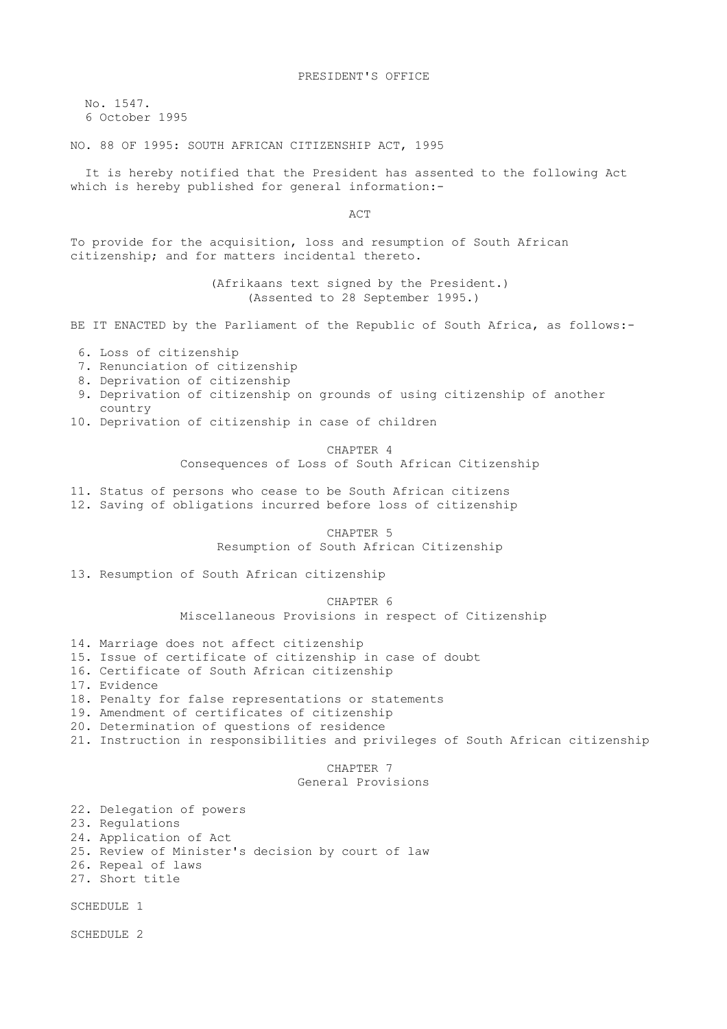No. 1547. 6 October 1995

NO. 88 OF 1995: SOUTH AFRICAN CITIZENSHIP ACT, 1995

 It is hereby notified that the President has assented to the following Act which is hereby published for general information:-

ACT

To provide for the acquisition, loss and resumption of South African citizenship; and for matters incidental thereto.

> (Afrikaans text signed by the President.) (Assented to 28 September 1995.)

BE IT ENACTED by the Parliament of the Republic of South Africa, as follows:-

- 6. Loss of citizenship
- 7. Renunciation of citizenship
- 8. Deprivation of citizenship
- 9. Deprivation of citizenship on grounds of using citizenship of another country
- 10. Deprivation of citizenship in case of children

 CHAPTER 4 Consequences of Loss of South African Citizenship

11. Status of persons who cease to be South African citizens 12. Saving of obligations incurred before loss of citizenship

> CHAPTER 5 Resumption of South African Citizenship

13. Resumption of South African citizenship

 CHAPTER 6 Miscellaneous Provisions in respect of Citizenship

14. Marriage does not affect citizenship

- 15. Issue of certificate of citizenship in case of doubt
- 16. Certificate of South African citizenship
- 17. Evidence
- 18. Penalty for false representations or statements
- 19. Amendment of certificates of citizenship
- 20. Determination of questions of residence
- 21. Instruction in responsibilities and privileges of South African citizenship

CHAPTER 7

General Provisions

22. Delegation of powers 23. Regulations

- 24. Application of Act
- 25. Review of Minister's decision by court of law
- 26. Repeal of laws
- 27. Short title

SCHEDULE 1

SCHEDULE 2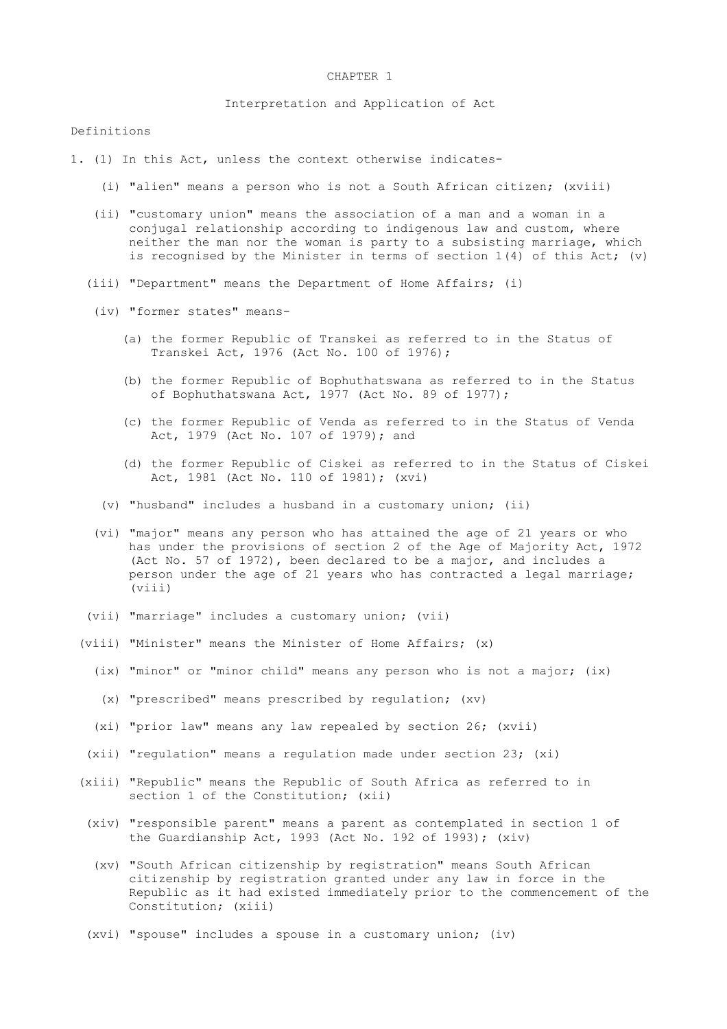### CHAPTER 1

Interpretation and Application of Act

### Definitions

- 1. (1) In this Act, unless the context otherwise indicates-
	- (i) "alien" means a person who is not a South African citizen; (xviii)
	- (ii) "customary union" means the association of a man and a woman in a conjugal relationship according to indigenous law and custom, where neither the man nor the woman is party to a subsisting marriage, which is recognised by the Minister in terms of section  $1(4)$  of this Act; (v)
	- (iii) "Department" means the Department of Home Affairs; (i)
	- (iv) "former states" means-
		- (a) the former Republic of Transkei as referred to in the Status of Transkei Act, 1976 (Act No. 100 of 1976);
		- (b) the former Republic of Bophuthatswana as referred to in the Status of Bophuthatswana Act, 1977 (Act No. 89 of 1977);
		- (c) the former Republic of Venda as referred to in the Status of Venda Act, 1979 (Act No. 107 of 1979); and
		- (d) the former Republic of Ciskei as referred to in the Status of Ciskei Act, 1981 (Act No. 110 of 1981); (xvi)
		- (v) "husband" includes a husband in a customary union; (ii)
	- (vi) "major" means any person who has attained the age of 21 years or who has under the provisions of section 2 of the Age of Majority Act, 1972 (Act No. 57 of 1972), been declared to be a major, and includes a person under the age of 21 years who has contracted a legal marriage; (viii)
	- (vii) "marriage" includes a customary union; (vii)
	- (viii) "Minister" means the Minister of Home Affairs; (x)
		- (ix) "minor" or "minor child" means any person who is not a major; (ix)
		- (x) "prescribed" means prescribed by regulation; (xv)
		- (xi) "prior law" means any law repealed by section 26; (xvii)
	- (xii) "regulation" means a regulation made under section 23; (xi)
	- (xiii) "Republic" means the Republic of South Africa as referred to in section 1 of the Constitution; (xii)
	- (xiv) "responsible parent" means a parent as contemplated in section 1 of the Guardianship Act, 1993 (Act No. 192 of 1993); (xiv)
	- (xv) "South African citizenship by registration" means South African citizenship by registration granted under any law in force in the Republic as it had existed immediately prior to the commencement of the Constitution; (xiii)
	- (xvi) "spouse" includes a spouse in a customary union; (iv)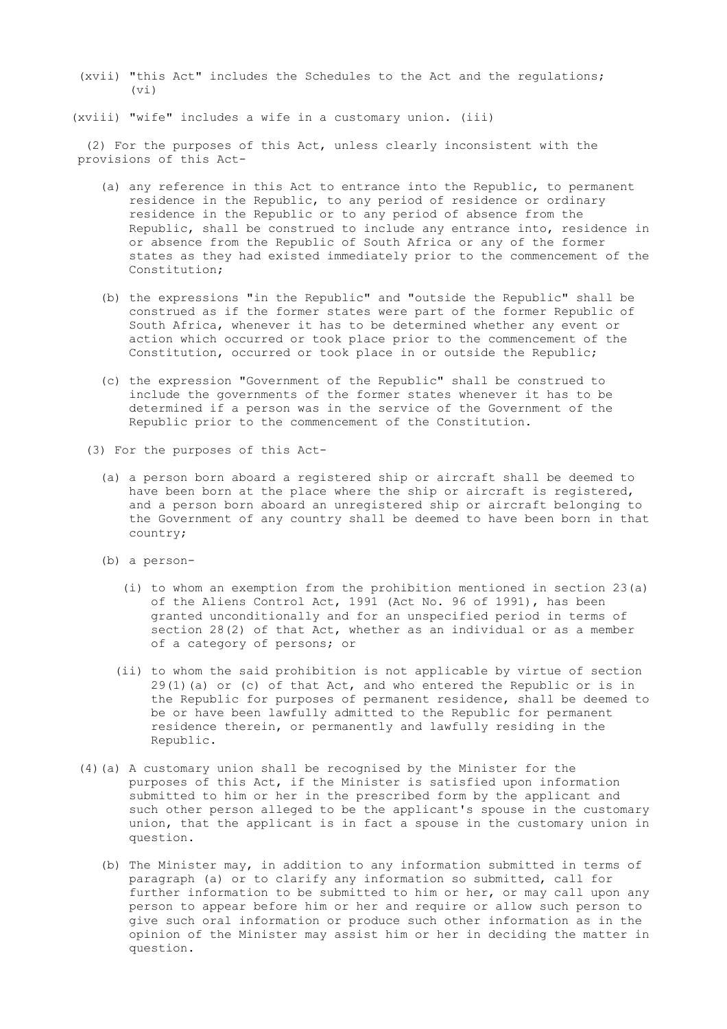(xvii) "this Act" includes the Schedules to the Act and the regulations;  $(vi)$ 

(xviii) "wife" includes a wife in a customary union. (iii)

 (2) For the purposes of this Act, unless clearly inconsistent with the provisions of this Act-

- (a) any reference in this Act to entrance into the Republic, to permanent residence in the Republic, to any period of residence or ordinary residence in the Republic or to any period of absence from the Republic, shall be construed to include any entrance into, residence in or absence from the Republic of South Africa or any of the former states as they had existed immediately prior to the commencement of the Constitution;
- (b) the expressions "in the Republic" and "outside the Republic" shall be construed as if the former states were part of the former Republic of South Africa, whenever it has to be determined whether any event or action which occurred or took place prior to the commencement of the Constitution, occurred or took place in or outside the Republic;
- (c) the expression "Government of the Republic" shall be construed to include the governments of the former states whenever it has to be determined if a person was in the service of the Government of the Republic prior to the commencement of the Constitution.
- (3) For the purposes of this Act-
	- (a) a person born aboard a registered ship or aircraft shall be deemed to have been born at the place where the ship or aircraft is registered, and a person born aboard an unregistered ship or aircraft belonging to the Government of any country shall be deemed to have been born in that country;
	- (b) a person-
		- (i) to whom an exemption from the prohibition mentioned in section 23(a) of the Aliens Control Act, 1991 (Act No. 96 of 1991), has been granted unconditionally and for an unspecified period in terms of section 28(2) of that Act, whether as an individual or as a member of a category of persons; or
		- (ii) to whom the said prohibition is not applicable by virtue of section  $29(1)(a)$  or (c) of that Act, and who entered the Republic or is in the Republic for purposes of permanent residence, shall be deemed to be or have been lawfully admitted to the Republic for permanent residence therein, or permanently and lawfully residing in the Republic.
- (4)(a) A customary union shall be recognised by the Minister for the purposes of this Act, if the Minister is satisfied upon information submitted to him or her in the prescribed form by the applicant and such other person alleged to be the applicant's spouse in the customary union, that the applicant is in fact a spouse in the customary union in question.
	- (b) The Minister may, in addition to any information submitted in terms of paragraph (a) or to clarify any information so submitted, call for further information to be submitted to him or her, or may call upon any person to appear before him or her and require or allow such person to give such oral information or produce such other information as in the opinion of the Minister may assist him or her in deciding the matter in question.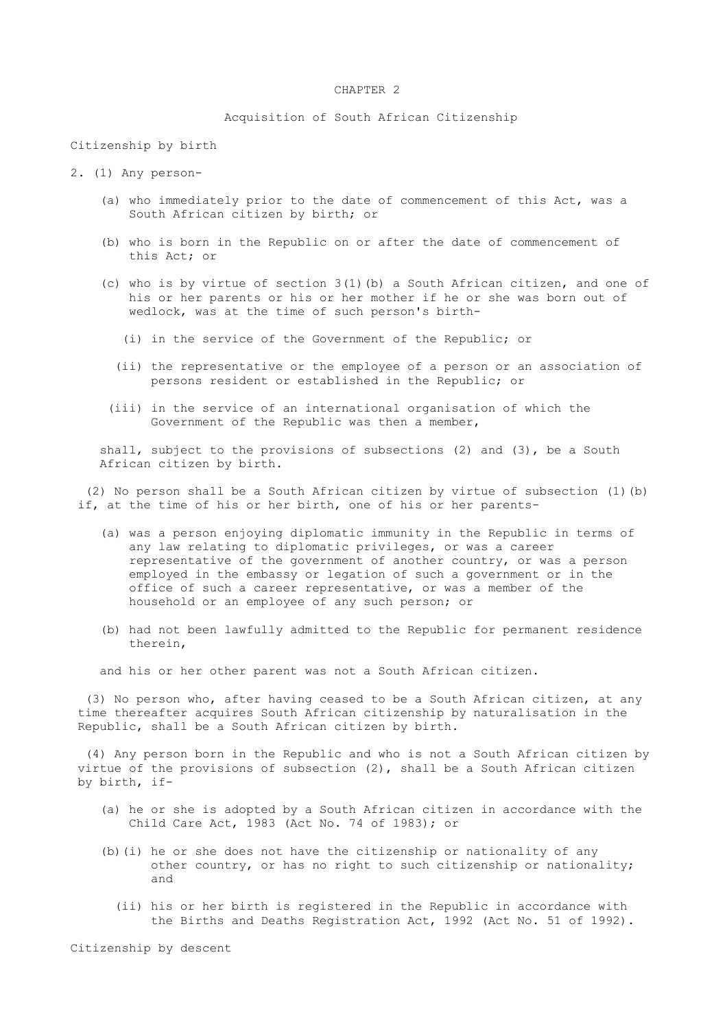# CHAPTER 2

# Acquisition of South African Citizenship

Citizenship by birth

- 2. (1) Any person-
	- (a) who immediately prior to the date of commencement of this Act, was a South African citizen by birth; or
	- (b) who is born in the Republic on or after the date of commencement of this Act; or
	- (c) who is by virtue of section 3(1)(b) a South African citizen, and one of his or her parents or his or her mother if he or she was born out of wedlock, was at the time of such person's birth-
		- (i) in the service of the Government of the Republic; or
		- (ii) the representative or the employee of a person or an association of persons resident or established in the Republic; or
	- (iii) in the service of an international organisation of which the Government of the Republic was then a member,

 shall, subject to the provisions of subsections (2) and (3), be a South African citizen by birth.

 (2) No person shall be a South African citizen by virtue of subsection (1)(b) if, at the time of his or her birth, one of his or her parents-

- (a) was a person enjoying diplomatic immunity in the Republic in terms of any law relating to diplomatic privileges, or was a career representative of the government of another country, or was a person employed in the embassy or legation of such a government or in the office of such a career representative, or was a member of the household or an employee of any such person; or
- (b) had not been lawfully admitted to the Republic for permanent residence therein,

and his or her other parent was not a South African citizen.

 (3) No person who, after having ceased to be a South African citizen, at any time thereafter acquires South African citizenship by naturalisation in the Republic, shall be a South African citizen by birth.

 (4) Any person born in the Republic and who is not a South African citizen by virtue of the provisions of subsection (2), shall be a South African citizen by birth, if-

- (a) he or she is adopted by a South African citizen in accordance with the Child Care Act, 1983 (Act No. 74 of 1983); or
- (b)(i) he or she does not have the citizenship or nationality of any other country, or has no right to such citizenship or nationality; and
	- (ii) his or her birth is registered in the Republic in accordance with the Births and Deaths Registration Act, 1992 (Act No. 51 of 1992).

Citizenship by descent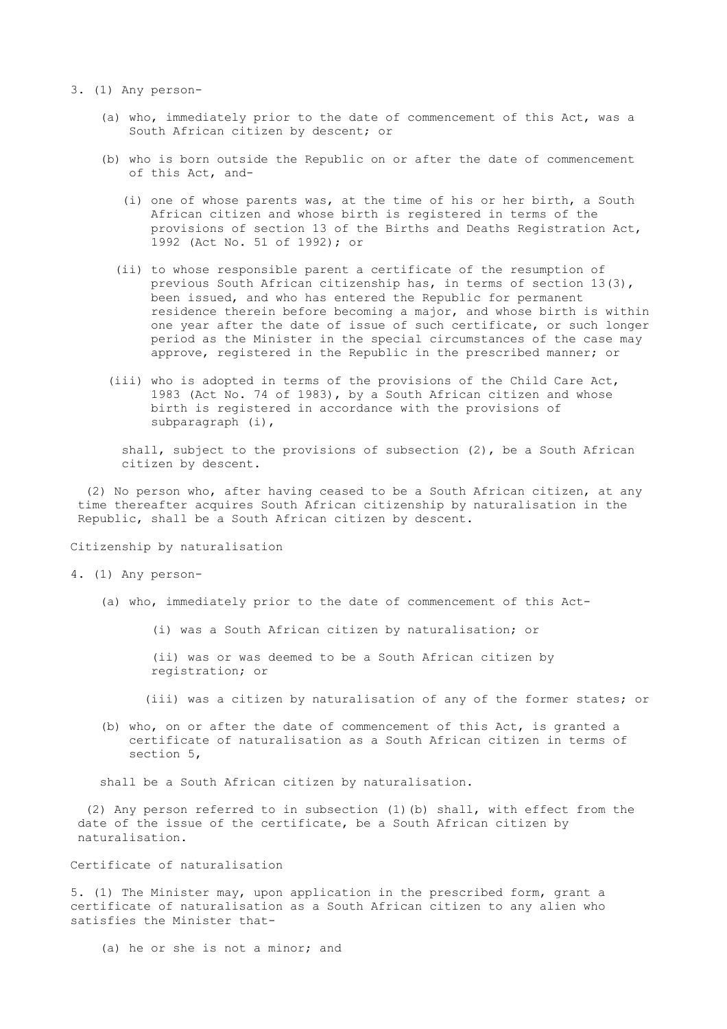- 3. (1) Any person-
	- (a) who, immediately prior to the date of commencement of this Act, was a South African citizen by descent; or
	- (b) who is born outside the Republic on or after the date of commencement of this Act, and-
		- (i) one of whose parents was, at the time of his or her birth, a South African citizen and whose birth is registered in terms of the provisions of section 13 of the Births and Deaths Registration Act, 1992 (Act No. 51 of 1992); or
		- (ii) to whose responsible parent a certificate of the resumption of previous South African citizenship has, in terms of section 13(3), been issued, and who has entered the Republic for permanent residence therein before becoming a major, and whose birth is within one year after the date of issue of such certificate, or such longer period as the Minister in the special circumstances of the case may approve, registered in the Republic in the prescribed manner; or
	- (iii) who is adopted in terms of the provisions of the Child Care Act, 1983 (Act No. 74 of 1983), by a South African citizen and whose birth is registered in accordance with the provisions of subparagraph (i),

 shall, subject to the provisions of subsection (2), be a South African citizen by descent.

 (2) No person who, after having ceased to be a South African citizen, at any time thereafter acquires South African citizenship by naturalisation in the Republic, shall be a South African citizen by descent.

Citizenship by naturalisation

4. (1) Any person-

(a) who, immediately prior to the date of commencement of this Act-

(i) was a South African citizen by naturalisation; or

 (ii) was or was deemed to be a South African citizen by registration; or

(iii) was a citizen by naturalisation of any of the former states; or

 (b) who, on or after the date of commencement of this Act, is granted a certificate of naturalisation as a South African citizen in terms of section 5,

shall be a South African citizen by naturalisation.

 (2) Any person referred to in subsection (1)(b) shall, with effect from the date of the issue of the certificate, be a South African citizen by naturalisation.

Certificate of naturalisation

5. (1) The Minister may, upon application in the prescribed form, grant a certificate of naturalisation as a South African citizen to any alien who satisfies the Minister that-

(a) he or she is not a minor; and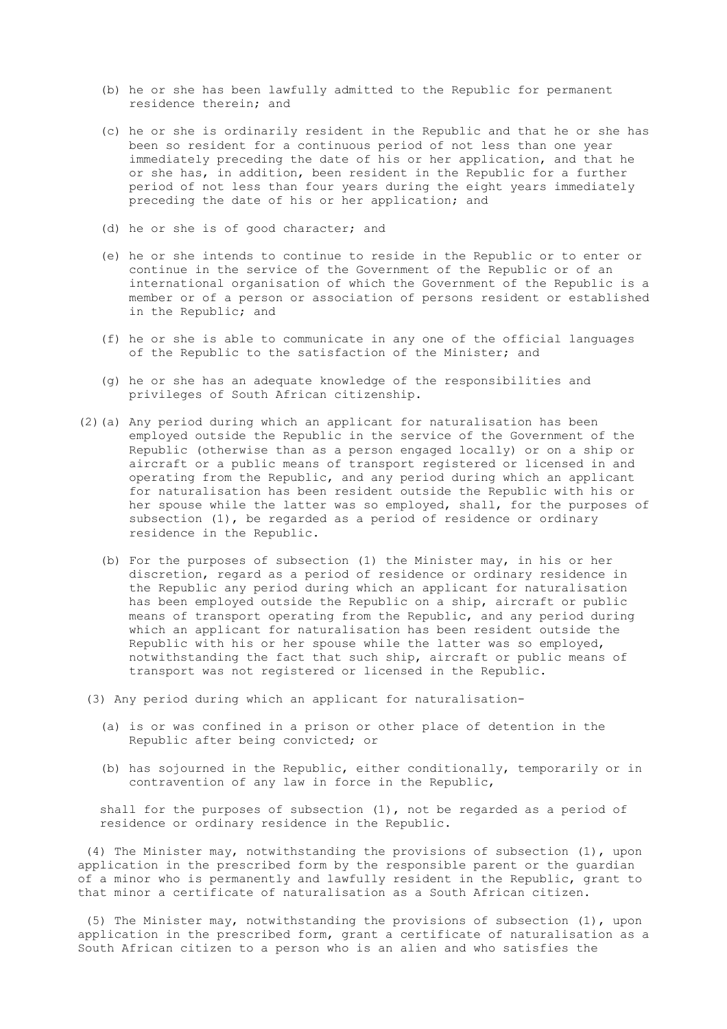- (b) he or she has been lawfully admitted to the Republic for permanent residence therein; and
- (c) he or she is ordinarily resident in the Republic and that he or she has been so resident for a continuous period of not less than one year immediately preceding the date of his or her application, and that he or she has, in addition, been resident in the Republic for a further period of not less than four years during the eight years immediately preceding the date of his or her application; and
- (d) he or she is of good character; and
- (e) he or she intends to continue to reside in the Republic or to enter or continue in the service of the Government of the Republic or of an international organisation of which the Government of the Republic is a member or of a person or association of persons resident or established in the Republic; and
- (f) he or she is able to communicate in any one of the official languages of the Republic to the satisfaction of the Minister; and
- (g) he or she has an adequate knowledge of the responsibilities and privileges of South African citizenship.
- (2)(a) Any period during which an applicant for naturalisation has been employed outside the Republic in the service of the Government of the Republic (otherwise than as a person engaged locally) or on a ship or aircraft or a public means of transport registered or licensed in and operating from the Republic, and any period during which an applicant for naturalisation has been resident outside the Republic with his or her spouse while the latter was so employed, shall, for the purposes of subsection (1), be regarded as a period of residence or ordinary residence in the Republic.
	- (b) For the purposes of subsection (1) the Minister may, in his or her discretion, regard as a period of residence or ordinary residence in the Republic any period during which an applicant for naturalisation has been employed outside the Republic on a ship, aircraft or public means of transport operating from the Republic, and any period during which an applicant for naturalisation has been resident outside the Republic with his or her spouse while the latter was so employed, notwithstanding the fact that such ship, aircraft or public means of transport was not registered or licensed in the Republic.
- (3) Any period during which an applicant for naturalisation-
	- (a) is or was confined in a prison or other place of detention in the Republic after being convicted; or
	- (b) has sojourned in the Republic, either conditionally, temporarily or in contravention of any law in force in the Republic,

 shall for the purposes of subsection (1), not be regarded as a period of residence or ordinary residence in the Republic.

 (4) The Minister may, notwithstanding the provisions of subsection (1), upon application in the prescribed form by the responsible parent or the guardian of a minor who is permanently and lawfully resident in the Republic, grant to that minor a certificate of naturalisation as a South African citizen.

 (5) The Minister may, notwithstanding the provisions of subsection (1), upon application in the prescribed form, grant a certificate of naturalisation as a South African citizen to a person who is an alien and who satisfies the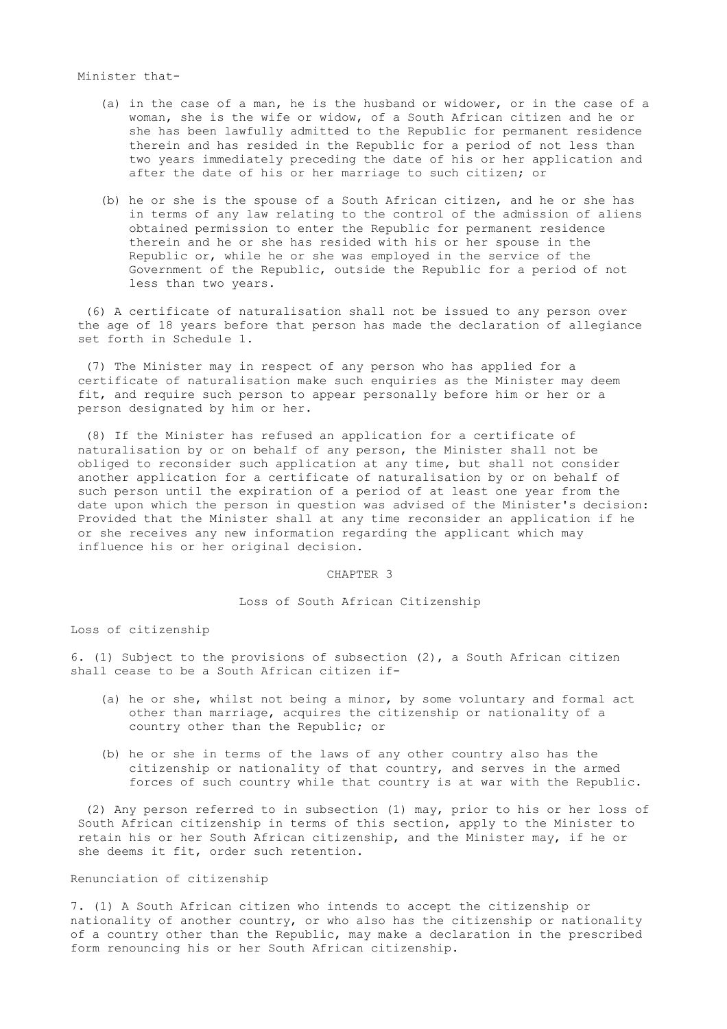# Minister that-

- (a) in the case of a man, he is the husband or widower, or in the case of a woman, she is the wife or widow, of a South African citizen and he or she has been lawfully admitted to the Republic for permanent residence therein and has resided in the Republic for a period of not less than two years immediately preceding the date of his or her application and after the date of his or her marriage to such citizen; or
- (b) he or she is the spouse of a South African citizen, and he or she has in terms of any law relating to the control of the admission of aliens obtained permission to enter the Republic for permanent residence therein and he or she has resided with his or her spouse in the Republic or, while he or she was employed in the service of the Government of the Republic, outside the Republic for a period of not less than two years.

 (6) A certificate of naturalisation shall not be issued to any person over the age of 18 years before that person has made the declaration of allegiance set forth in Schedule 1.

 (7) The Minister may in respect of any person who has applied for a certificate of naturalisation make such enquiries as the Minister may deem fit, and require such person to appear personally before him or her or a person designated by him or her.

 (8) If the Minister has refused an application for a certificate of naturalisation by or on behalf of any person, the Minister shall not be obliged to reconsider such application at any time, but shall not consider another application for a certificate of naturalisation by or on behalf of such person until the expiration of a period of at least one year from the date upon which the person in question was advised of the Minister's decision: Provided that the Minister shall at any time reconsider an application if he or she receives any new information regarding the applicant which may influence his or her original decision.

#### CHAPTER 3

### Loss of South African Citizenship

Loss of citizenship

6. (1) Subject to the provisions of subsection (2), a South African citizen shall cease to be a South African citizen if-

- (a) he or she, whilst not being a minor, by some voluntary and formal act other than marriage, acquires the citizenship or nationality of a country other than the Republic; or
- (b) he or she in terms of the laws of any other country also has the citizenship or nationality of that country, and serves in the armed forces of such country while that country is at war with the Republic.

 (2) Any person referred to in subsection (1) may, prior to his or her loss of South African citizenship in terms of this section, apply to the Minister to retain his or her South African citizenship, and the Minister may, if he or she deems it fit, order such retention.

### Renunciation of citizenship

7. (1) A South African citizen who intends to accept the citizenship or nationality of another country, or who also has the citizenship or nationality of a country other than the Republic, may make a declaration in the prescribed form renouncing his or her South African citizenship.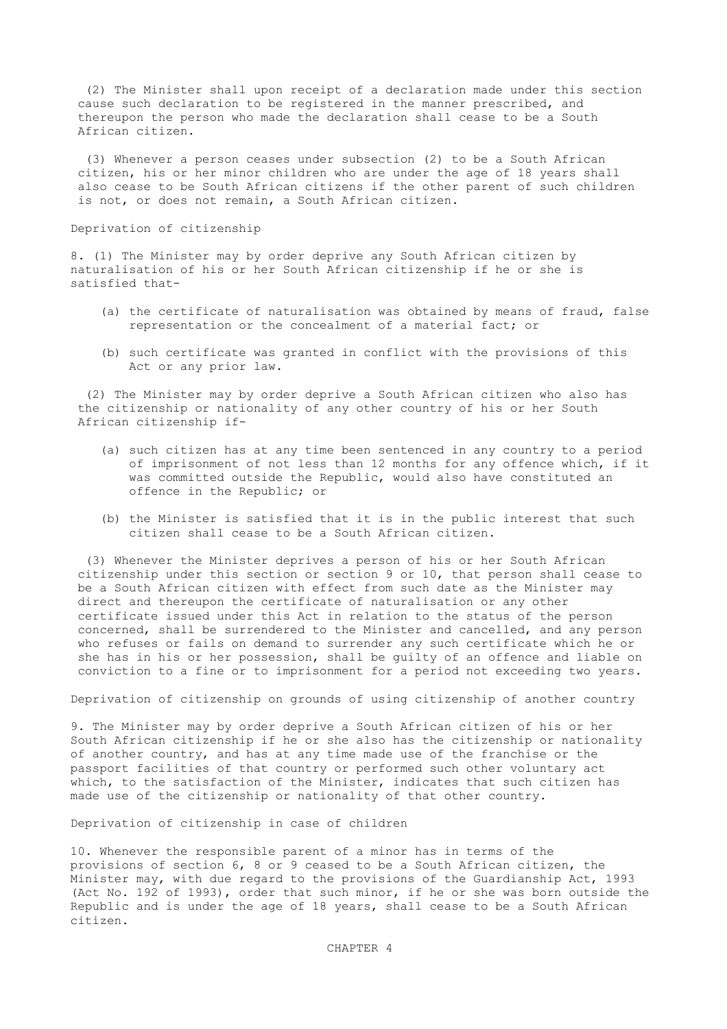(2) The Minister shall upon receipt of a declaration made under this section cause such declaration to be registered in the manner prescribed, and thereupon the person who made the declaration shall cease to be a South African citizen.

 (3) Whenever a person ceases under subsection (2) to be a South African citizen, his or her minor children who are under the age of 18 years shall also cease to be South African citizens if the other parent of such children is not, or does not remain, a South African citizen.

# Deprivation of citizenship

8. (1) The Minister may by order deprive any South African citizen by naturalisation of his or her South African citizenship if he or she is satisfied that-

- (a) the certificate of naturalisation was obtained by means of fraud, false representation or the concealment of a material fact; or
- (b) such certificate was granted in conflict with the provisions of this Act or any prior law.

 (2) The Minister may by order deprive a South African citizen who also has the citizenship or nationality of any other country of his or her South African citizenship if-

- (a) such citizen has at any time been sentenced in any country to a period of imprisonment of not less than 12 months for any offence which, if it was committed outside the Republic, would also have constituted an offence in the Republic; or
- (b) the Minister is satisfied that it is in the public interest that such citizen shall cease to be a South African citizen.

 (3) Whenever the Minister deprives a person of his or her South African citizenship under this section or section 9 or 10, that person shall cease to be a South African citizen with effect from such date as the Minister may direct and thereupon the certificate of naturalisation or any other certificate issued under this Act in relation to the status of the person concerned, shall be surrendered to the Minister and cancelled, and any person who refuses or fails on demand to surrender any such certificate which he or she has in his or her possession, shall be guilty of an offence and liable on conviction to a fine or to imprisonment for a period not exceeding two years.

Deprivation of citizenship on grounds of using citizenship of another country

9. The Minister may by order deprive a South African citizen of his or her South African citizenship if he or she also has the citizenship or nationality of another country, and has at any time made use of the franchise or the passport facilities of that country or performed such other voluntary act which, to the satisfaction of the Minister, indicates that such citizen has made use of the citizenship or nationality of that other country.

Deprivation of citizenship in case of children

10. Whenever the responsible parent of a minor has in terms of the provisions of section 6, 8 or 9 ceased to be a South African citizen, the Minister may, with due regard to the provisions of the Guardianship Act, 1993 (Act No. 192 of 1993), order that such minor, if he or she was born outside the Republic and is under the age of 18 years, shall cease to be a South African citizen.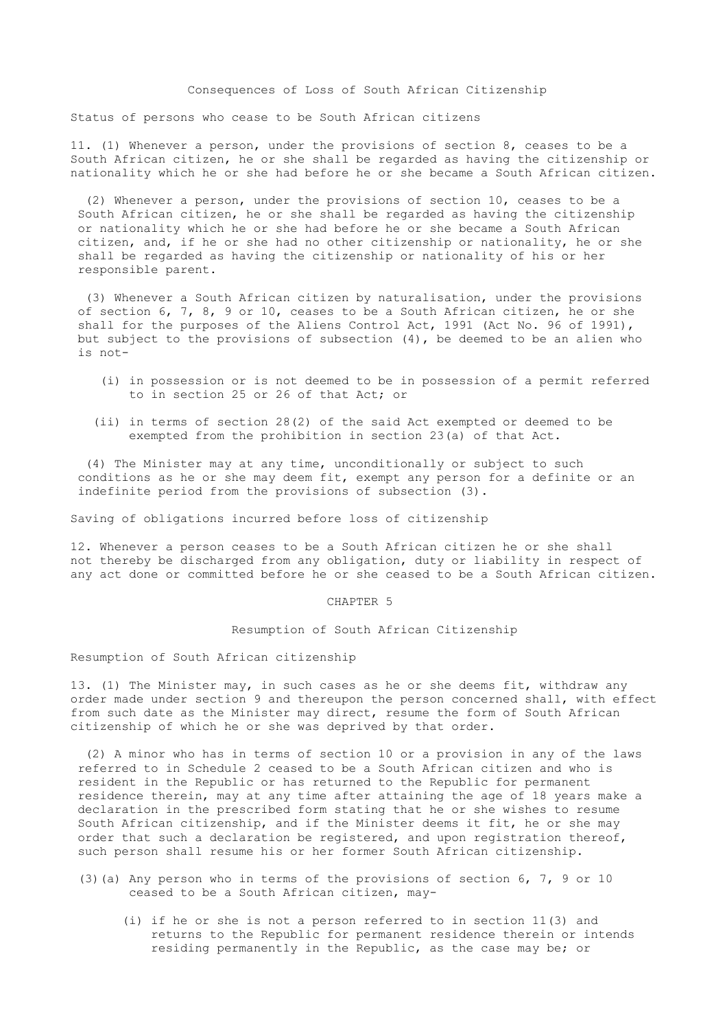# Consequences of Loss of South African Citizenship

Status of persons who cease to be South African citizens

11. (1) Whenever a person, under the provisions of section 8, ceases to be a South African citizen, he or she shall be regarded as having the citizenship or nationality which he or she had before he or she became a South African citizen.

 (2) Whenever a person, under the provisions of section 10, ceases to be a South African citizen, he or she shall be regarded as having the citizenship or nationality which he or she had before he or she became a South African citizen, and, if he or she had no other citizenship or nationality, he or she shall be regarded as having the citizenship or nationality of his or her responsible parent.

 (3) Whenever a South African citizen by naturalisation, under the provisions of section 6, 7, 8, 9 or 10, ceases to be a South African citizen, he or she shall for the purposes of the Aliens Control Act, 1991 (Act No. 96 of 1991), but subject to the provisions of subsection  $(4)$ , be deemed to be an alien who is not-

- (i) in possession or is not deemed to be in possession of a permit referred to in section 25 or 26 of that Act; or
- (ii) in terms of section 28(2) of the said Act exempted or deemed to be exempted from the prohibition in section 23(a) of that Act.

 (4) The Minister may at any time, unconditionally or subject to such conditions as he or she may deem fit, exempt any person for a definite or an indefinite period from the provisions of subsection (3).

Saving of obligations incurred before loss of citizenship

12. Whenever a person ceases to be a South African citizen he or she shall not thereby be discharged from any obligation, duty or liability in respect of any act done or committed before he or she ceased to be a South African citizen.

## CHAPTER 5

## Resumption of South African Citizenship

#### Resumption of South African citizenship

13. (1) The Minister may, in such cases as he or she deems fit, withdraw any order made under section 9 and thereupon the person concerned shall, with effect from such date as the Minister may direct, resume the form of South African citizenship of which he or she was deprived by that order.

 (2) A minor who has in terms of section 10 or a provision in any of the laws referred to in Schedule 2 ceased to be a South African citizen and who is resident in the Republic or has returned to the Republic for permanent residence therein, may at any time after attaining the age of 18 years make a declaration in the prescribed form stating that he or she wishes to resume South African citizenship, and if the Minister deems it fit, he or she may order that such a declaration be registered, and upon registration thereof, such person shall resume his or her former South African citizenship.

- (3)(a) Any person who in terms of the provisions of section  $6, 7, 9$  or 10 ceased to be a South African citizen, may-
	- (i) if he or she is not a person referred to in section 11(3) and returns to the Republic for permanent residence therein or intends residing permanently in the Republic, as the case may be; or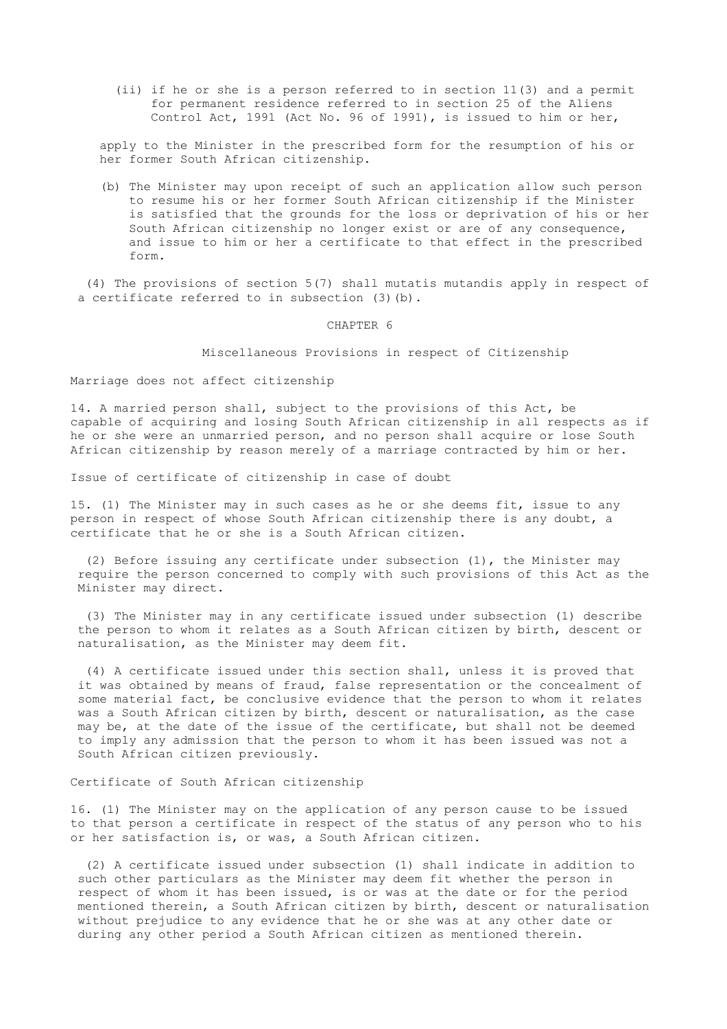(ii) if he or she is a person referred to in section 11(3) and a permit for permanent residence referred to in section 25 of the Aliens Control Act, 1991 (Act No. 96 of 1991), is issued to him or her,

 apply to the Minister in the prescribed form for the resumption of his or her former South African citizenship.

 (b) The Minister may upon receipt of such an application allow such person to resume his or her former South African citizenship if the Minister is satisfied that the grounds for the loss or deprivation of his or her South African citizenship no longer exist or are of any consequence, and issue to him or her a certificate to that effect in the prescribed form.

 (4) The provisions of section 5(7) shall mutatis mutandis apply in respect of a certificate referred to in subsection (3)(b).

CHAPTER 6

Miscellaneous Provisions in respect of Citizenship

Marriage does not affect citizenship

14. A married person shall, subject to the provisions of this Act, be capable of acquiring and losing South African citizenship in all respects as if he or she were an unmarried person, and no person shall acquire or lose South African citizenship by reason merely of a marriage contracted by him or her.

Issue of certificate of citizenship in case of doubt

15. (1) The Minister may in such cases as he or she deems fit, issue to any person in respect of whose South African citizenship there is any doubt, a certificate that he or she is a South African citizen.

 (2) Before issuing any certificate under subsection (1), the Minister may require the person concerned to comply with such provisions of this Act as the Minister may direct.

 (3) The Minister may in any certificate issued under subsection (1) describe the person to whom it relates as a South African citizen by birth, descent or naturalisation, as the Minister may deem fit.

 (4) A certificate issued under this section shall, unless it is proved that it was obtained by means of fraud, false representation or the concealment of some material fact, be conclusive evidence that the person to whom it relates was a South African citizen by birth, descent or naturalisation, as the case may be, at the date of the issue of the certificate, but shall not be deemed to imply any admission that the person to whom it has been issued was not a South African citizen previously.

# Certificate of South African citizenship

16. (1) The Minister may on the application of any person cause to be issued to that person a certificate in respect of the status of any person who to his or her satisfaction is, or was, a South African citizen.

 (2) A certificate issued under subsection (1) shall indicate in addition to such other particulars as the Minister may deem fit whether the person in respect of whom it has been issued, is or was at the date or for the period mentioned therein, a South African citizen by birth, descent or naturalisation without prejudice to any evidence that he or she was at any other date or during any other period a South African citizen as mentioned therein.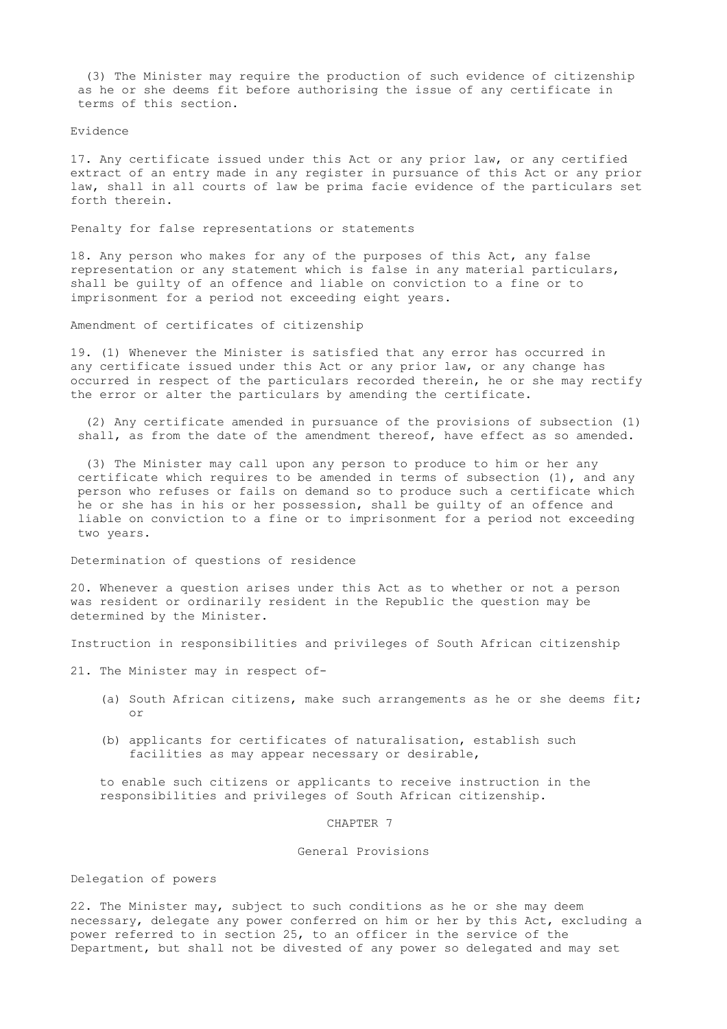(3) The Minister may require the production of such evidence of citizenship as he or she deems fit before authorising the issue of any certificate in terms of this section.

Evidence

17. Any certificate issued under this Act or any prior law, or any certified extract of an entry made in any register in pursuance of this Act or any prior law, shall in all courts of law be prima facie evidence of the particulars set forth therein.

Penalty for false representations or statements

18. Any person who makes for any of the purposes of this Act, any false representation or any statement which is false in any material particulars, shall be guilty of an offence and liable on conviction to a fine or to imprisonment for a period not exceeding eight years.

Amendment of certificates of citizenship

19. (1) Whenever the Minister is satisfied that any error has occurred in any certificate issued under this Act or any prior law, or any change has occurred in respect of the particulars recorded therein, he or she may rectify the error or alter the particulars by amending the certificate.

 (2) Any certificate amended in pursuance of the provisions of subsection (1) shall, as from the date of the amendment thereof, have effect as so amended.

 (3) The Minister may call upon any person to produce to him or her any certificate which requires to be amended in terms of subsection (1), and any person who refuses or fails on demand so to produce such a certificate which he or she has in his or her possession, shall be guilty of an offence and liable on conviction to a fine or to imprisonment for a period not exceeding two years.

Determination of questions of residence

20. Whenever a question arises under this Act as to whether or not a person was resident or ordinarily resident in the Republic the question may be determined by the Minister.

Instruction in responsibilities and privileges of South African citizenship

21. The Minister may in respect of-

- (a) South African citizens, make such arrangements as he or she deems fit; or
- (b) applicants for certificates of naturalisation, establish such facilities as may appear necessary or desirable,

 to enable such citizens or applicants to receive instruction in the responsibilities and privileges of South African citizenship.

CHAPTER 7

General Provisions

Delegation of powers

22. The Minister may, subject to such conditions as he or she may deem necessary, delegate any power conferred on him or her by this Act, excluding a power referred to in section 25, to an officer in the service of the Department, but shall not be divested of any power so delegated and may set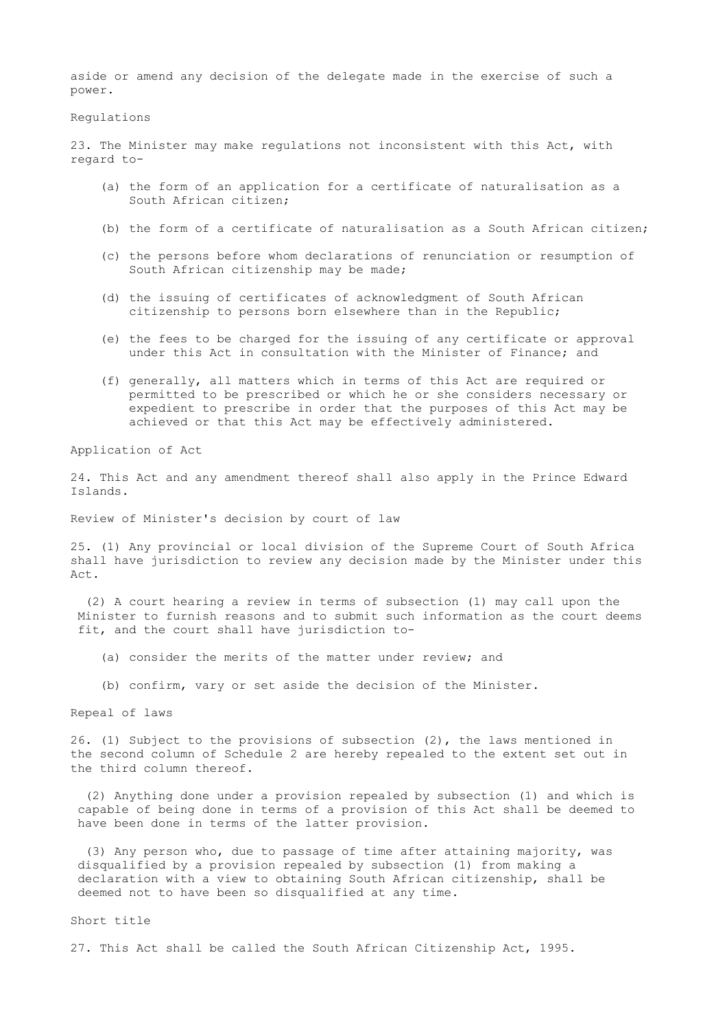aside or amend any decision of the delegate made in the exercise of such a power.

Regulations

23. The Minister may make regulations not inconsistent with this Act, with regard to-

- (a) the form of an application for a certificate of naturalisation as a South African citizen;
- (b) the form of a certificate of naturalisation as a South African citizen;
- (c) the persons before whom declarations of renunciation or resumption of South African citizenship may be made;
- (d) the issuing of certificates of acknowledgment of South African citizenship to persons born elsewhere than in the Republic;
- (e) the fees to be charged for the issuing of any certificate or approval under this Act in consultation with the Minister of Finance; and
- (f) generally, all matters which in terms of this Act are required or permitted to be prescribed or which he or she considers necessary or expedient to prescribe in order that the purposes of this Act may be achieved or that this Act may be effectively administered.

Application of Act

24. This Act and any amendment thereof shall also apply in the Prince Edward Islands.

Review of Minister's decision by court of law

25. (1) Any provincial or local division of the Supreme Court of South Africa shall have jurisdiction to review any decision made by the Minister under this  $Act$ 

 (2) A court hearing a review in terms of subsection (1) may call upon the Minister to furnish reasons and to submit such information as the court deems fit, and the court shall have jurisdiction to-

- (a) consider the merits of the matter under review; and
- (b) confirm, vary or set aside the decision of the Minister.

Repeal of laws

26. (1) Subject to the provisions of subsection (2), the laws mentioned in the second column of Schedule 2 are hereby repealed to the extent set out in the third column thereof.

 (2) Anything done under a provision repealed by subsection (1) and which is capable of being done in terms of a provision of this Act shall be deemed to have been done in terms of the latter provision.

 (3) Any person who, due to passage of time after attaining majority, was disqualified by a provision repealed by subsection (1) from making a declaration with a view to obtaining South African citizenship, shall be deemed not to have been so disqualified at any time.

Short title

27. This Act shall be called the South African Citizenship Act, 1995.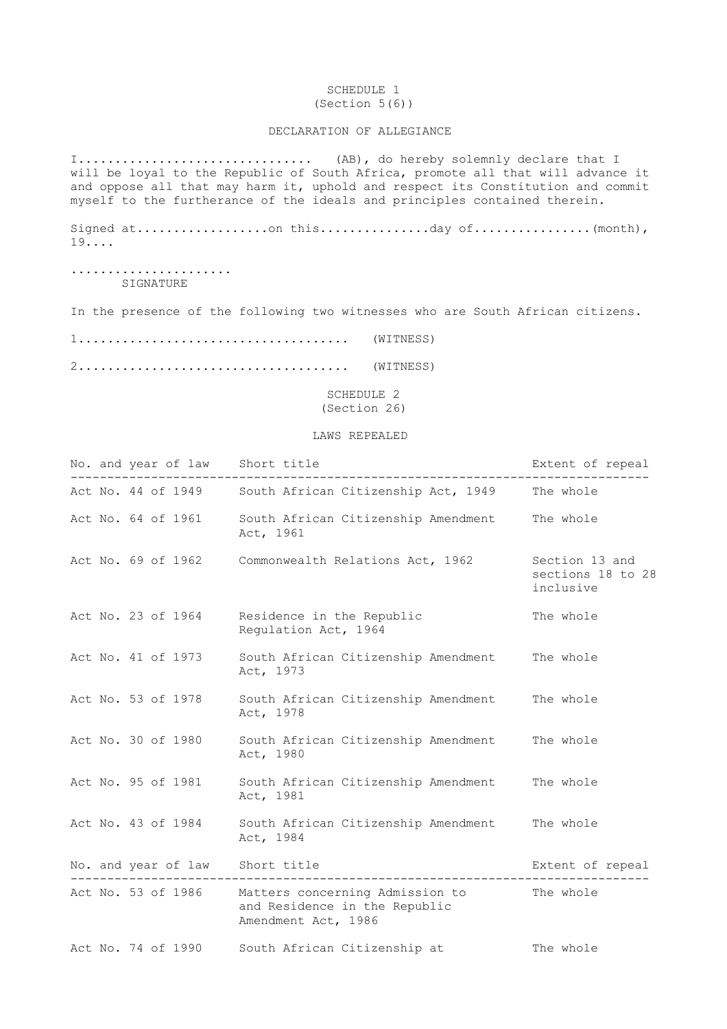## SCHEDULE 1 (Section 5(6))

# DECLARATION OF ALLEGIANCE

I................................ (AB), do hereby solemnly declare that I will be loyal to the Republic of South Africa, promote all that will advance it and oppose all that may harm it, uphold and respect its Constitution and commit myself to the furtherance of the ideals and principles contained therein.

Signed at..................on this...............day of................(month), 19....

...................... SIGNATURE

In the presence of the following two witnesses who are South African citizens.

1..................................... (WITNESS)

2..................................... (WITNESS)

 SCHEDULE 2 (Section 26)

#### LAWS REPEALED

|  | No. and year of law Short title |                                                                                                            | Extent of repeal                                 |
|--|---------------------------------|------------------------------------------------------------------------------------------------------------|--------------------------------------------------|
|  | Act No. 44 of 1949              | South African Citizenship Act, 1949                                                                        | The whole                                        |
|  | Act No. 64 of 1961              | South African Citizenship Amendment<br>Act, 1961                                                           | The whole                                        |
|  | Act No. 69 of 1962              | Commonwealth Relations Act, 1962                                                                           | Section 13 and<br>sections 18 to 28<br>inclusive |
|  | Act No. 23 of 1964              | Residence in the Republic<br>Regulation Act, 1964                                                          | The whole                                        |
|  | Act No. 41 of 1973              | South African Citizenship Amendment<br>Act, 1973                                                           | The whole                                        |
|  | Act No. 53 of 1978              | South African Citizenship Amendment<br>Act, 1978                                                           | The whole                                        |
|  | Act No. 30 of 1980              | South African Citizenship Amendment<br>Act, 1980                                                           | The whole                                        |
|  | Act No. 95 of 1981              | South African Citizenship Amendment<br>Act, 1981                                                           | The whole                                        |
|  | Act No. 43 of 1984              | South African Citizenship Amendment<br>Act, 1984                                                           | The whole                                        |
|  | No. and year of law Short title | -------------------------------                                                                            | Extent of repeal                                 |
|  |                                 | Act No. 53 of 1986 Matters concerning Admission to<br>and Residence in the Republic<br>Amendment Act, 1986 | The whole                                        |
|  | Act No. 74 of 1990              | South African Citizenship at                                                                               | The whole                                        |